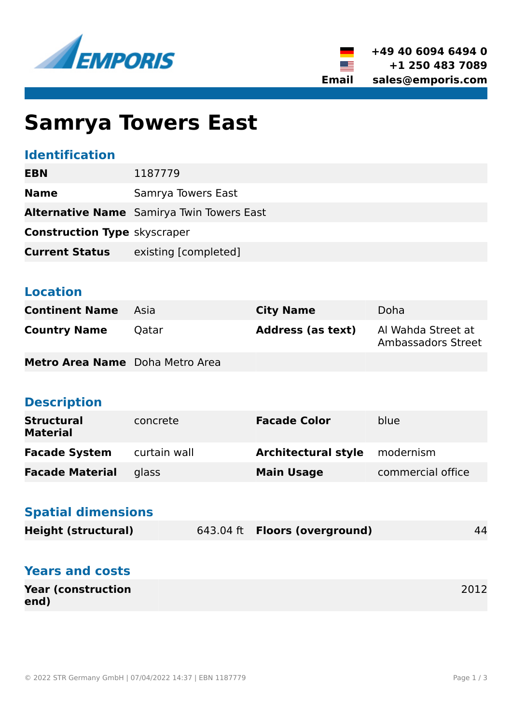



# **Samrya Towers East**

# **Identification**

| <b>EBN</b>                          | 1187779                                          |
|-------------------------------------|--------------------------------------------------|
| <b>Name</b>                         | Samrya Towers East                               |
|                                     | <b>Alternative Name</b> Samirya Twin Towers East |
| <b>Construction Type skyscraper</b> |                                                  |
| <b>Current Status</b>               | existing [completed]                             |

#### **Location**

| <b>Continent Name</b>                  | - Asia | <b>City Name</b>         | Doha                                     |
|----------------------------------------|--------|--------------------------|------------------------------------------|
| <b>Country Name</b>                    | Qatar  | <b>Address (as text)</b> | Al Wahda Street at<br>Ambassadors Street |
| <b>Metro Area Name</b> Doha Metro Area |        |                          |                                          |

# **Description**

| <b>Structural</b><br><b>Material</b> | concrete     | <b>Facade Color</b>        | blue              |
|--------------------------------------|--------------|----------------------------|-------------------|
| <b>Facade System</b>                 | curtain wall | <b>Architectural style</b> | modernism         |
| <b>Facade Material</b>               | glass        | <b>Main Usage</b>          | commercial office |

#### **Spatial dimensions**

| <b>Height (structural)</b> | 643.04 ft <b>Floors (overground)</b> | 44 |
|----------------------------|--------------------------------------|----|
|                            |                                      |    |

#### **Years and costs**

| <b>Year (construction</b> | 2012 |
|---------------------------|------|
| end)                      |      |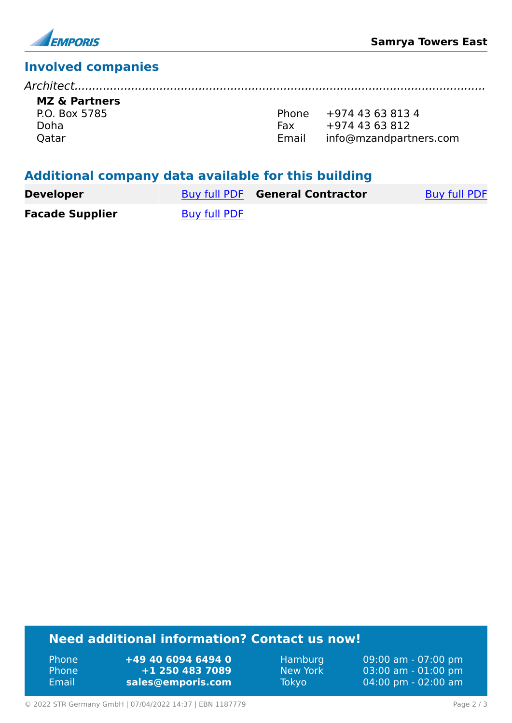

# **Involved companies**

*Architect....................................................................................................................* **MZ & Partners**

P.O. Box 5785 Doha Qatar

Phone +974 43 63 813 4 Fax +974 43 63 812 Email info@mzandpartners.com

#### **Additional company data available for this building**

| <b>Developer</b>       |              | <b>Buy full PDF General Contractor</b> | Buy full PDF |
|------------------------|--------------|----------------------------------------|--------------|
| <b>Facade Supplier</b> | Buy full PDF |                                        |              |

# **Need additional information? Contact us now!**

Phone **+49 40 6094 6494 0** Phone **+1 250 483 7089** Email **<sales@emporis.com>**

Hamburg 09:00 am - 07:00 pm New York 03:00 am - 01:00 pm Tokyo 04:00 pm - 02:00 am